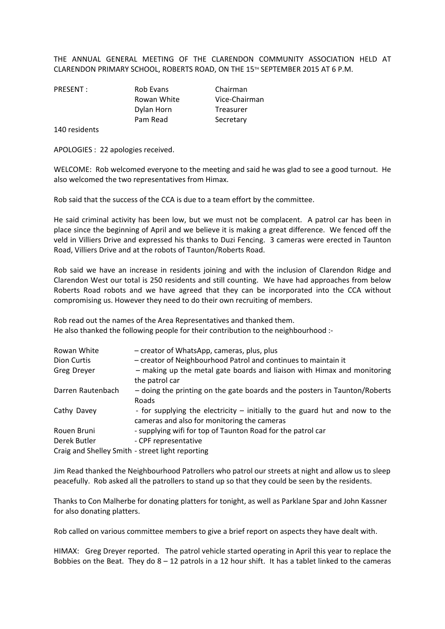THE ANNUAL GENERAL MEETING OF THE CLARENDON COMMUNITY ASSOCIATION HELD AT CLARENDON PRIMARY SCHOOL, ROBERTS ROAD, ON THE 15TH SEPTEMBER 2015 AT 6 P.M.

PRESENT : Rob Evans Chairman Rowan White Vice-Chairman Dylan Horn Treasurer Pam Read Secretary

140 residents

APOLOGIES : 22 apologies received.

WELCOME: Rob welcomed everyone to the meeting and said he was glad to see a good turnout. He also welcomed the two representatives from Himax.

Rob said that the success of the CCA is due to a team effort by the committee.

He said criminal activity has been low, but we must not be complacent. A patrol car has been in place since the beginning of April and we believe it is making a great difference. We fenced off the veld in Villiers Drive and expressed his thanks to Duzi Fencing. 3 cameras were erected in Taunton Road, Villiers Drive and at the robots of Taunton/Roberts Road.

Rob said we have an increase in residents joining and with the inclusion of Clarendon Ridge and Clarendon West our total is 250 residents and still counting. We have had approaches from below Roberts Road robots and we have agreed that they can be incorporated into the CCA without compromising us. However they need to do their own recruiting of members.

Rob read out the names of the Area Representatives and thanked them. He also thanked the following people for their contribution to the neighbourhood :-

| Rowan White                                      | - creator of WhatsApp, cameras, plus, plus                                                                                 |  |
|--------------------------------------------------|----------------------------------------------------------------------------------------------------------------------------|--|
| Dion Curtis                                      | - creator of Neighbourhood Patrol and continues to maintain it                                                             |  |
| Greg Dreyer                                      | - making up the metal gate boards and liaison with Himax and monitoring<br>the patrol car                                  |  |
| Darren Rautenbach                                | - doing the printing on the gate boards and the posters in Taunton/Roberts<br>Roads                                        |  |
| Cathy Davey                                      | - for supplying the electricity – initially to the guard hut and now to the<br>cameras and also for monitoring the cameras |  |
| Rouen Bruni                                      | - supplying wifi for top of Taunton Road for the patrol car                                                                |  |
| Derek Butler                                     | - CPF representative                                                                                                       |  |
| Craig and Shelley Smith - street light reporting |                                                                                                                            |  |

Jim Read thanked the Neighbourhood Patrollers who patrol our streets at night and allow us to sleep peacefully. Rob asked all the patrollers to stand up so that they could be seen by the residents.

Thanks to Con Malherbe for donating platters for tonight, as well as Parklane Spar and John Kassner for also donating platters.

Rob called on various committee members to give a brief report on aspects they have dealt with.

HIMAX: Greg Dreyer reported. The patrol vehicle started operating in April this year to replace the Bobbies on the Beat. They do  $8 - 12$  patrols in a 12 hour shift. It has a tablet linked to the cameras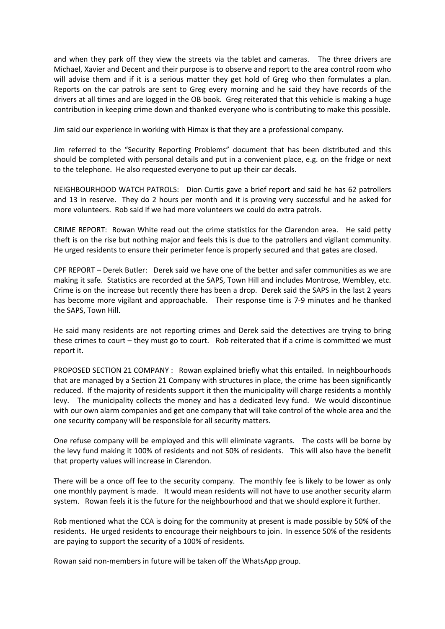and when they park off they view the streets via the tablet and cameras. The three drivers are Michael, Xavier and Decent and their purpose is to observe and report to the area control room who will advise them and if it is a serious matter they get hold of Greg who then formulates a plan. Reports on the car patrols are sent to Greg every morning and he said they have records of the drivers at all times and are logged in the OB book. Greg reiterated that this vehicle is making a huge contribution in keeping crime down and thanked everyone who is contributing to make this possible.

Jim said our experience in working with Himax is that they are a professional company.

Jim referred to the "Security Reporting Problems" document that has been distributed and this should be completed with personal details and put in a convenient place, e.g. on the fridge or next to the telephone. He also requested everyone to put up their car decals.

NEIGHBOURHOOD WATCH PATROLS: Dion Curtis gave a brief report and said he has 62 patrollers and 13 in reserve. They do 2 hours per month and it is proving very successful and he asked for more volunteers. Rob said if we had more volunteers we could do extra patrols.

CRIME REPORT: Rowan White read out the crime statistics for the Clarendon area. He said petty theft is on the rise but nothing major and feels this is due to the patrollers and vigilant community. He urged residents to ensure their perimeter fence is properly secured and that gates are closed.

CPF REPORT – Derek Butler: Derek said we have one of the better and safer communities as we are making it safe. Statistics are recorded at the SAPS, Town Hill and includes Montrose, Wembley, etc. Crime is on the increase but recently there has been a drop. Derek said the SAPS in the last 2 years has become more vigilant and approachable. Their response time is 7-9 minutes and he thanked the SAPS, Town Hill.

He said many residents are not reporting crimes and Derek said the detectives are trying to bring these crimes to court – they must go to court. Rob reiterated that if a crime is committed we must report it.

PROPOSED SECTION 21 COMPANY : Rowan explained briefly what this entailed. In neighbourhoods that are managed by a Section 21 Company with structures in place, the crime has been significantly reduced. If the majority of residents support it then the municipality will charge residents a monthly levy. The municipality collects the money and has a dedicated levy fund. We would discontinue with our own alarm companies and get one company that will take control of the whole area and the one security company will be responsible for all security matters.

One refuse company will be employed and this will eliminate vagrants. The costs will be borne by the levy fund making it 100% of residents and not 50% of residents. This will also have the benefit that property values will increase in Clarendon.

There will be a once off fee to the security company. The monthly fee is likely to be lower as only one monthly payment is made. It would mean residents will not have to use another security alarm system. Rowan feels it is the future for the neighbourhood and that we should explore it further.

Rob mentioned what the CCA is doing for the community at present is made possible by 50% of the residents. He urged residents to encourage their neighbours to join. In essence 50% of the residents are paying to support the security of a 100% of residents.

Rowan said non-members in future will be taken off the WhatsApp group.